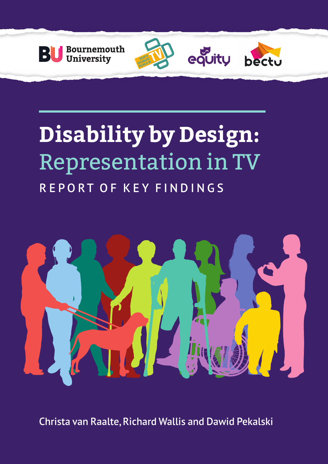

# **Disability by Design:**  Representation in TV REPORT OF KEY FINDINGS

equity



Christa van Raalte, Richard Wallis and Dawid Pekalski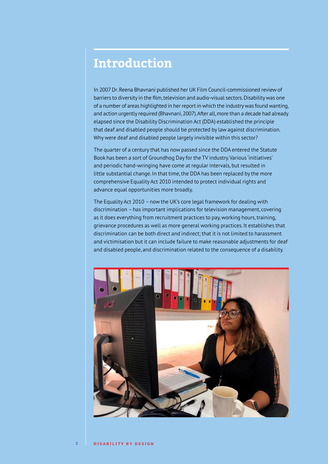### **Introduction**

In 2007 Dr. Reena Bhavnani published her UK Film Council-commissioned review of barriers to diversity in the film, television and audio-visual sectors. Disability was one of a number of areas highlighted in her report in which the industry was found wanting, and action urgently required (Bhavnani, 2007). After all, more than a decade had already elapsed since the Disability Discrimination Act (DDA) established the principle that deaf and disabled people should be protected by law against discrimination. Why were deaf and disabled people largely invisible within this sector?

The quarter of a century that has now passed since the DDA entered the Statute Book has been a sort of Groundhog Day for the TV industry. Various 'initiatives' and periodic hand-wringing have come at regular intervals, but resulted in little substantial change. In that time, the DDA has been replaced by the more comprehensive Equality Act 2010 intended to protect individual rights and advance equal opportunities more broadly.

The Equality Act 2010 – now the UK's core legal framework for dealing with discrimination – has important implications for television management, covering as it does everything from recruitment practices to pay, working hours, training, grievance procedures as well as more general working practices. It establishes that discrimination can be both direct and indirect; that it is not limited to harassment and victimisation but it can include failure to make reasonable adjustments for deaf and disabled people, and discrimination related to the consequence of a disability.

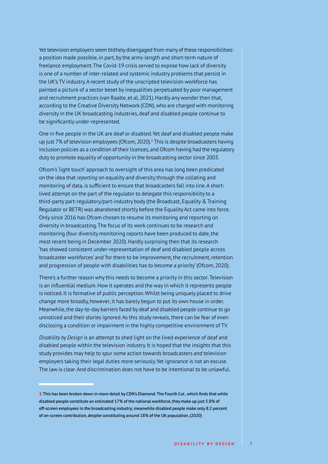Yet television employers seem blithely disengaged from many of these responsibilities: a position made possible, in part, by the arms-length and short-term nature of freelance employment. The Covid-19 crisis served to expose how lack of diversity is one of a number of inter-related and systemic industry problems that persist in the UK's TV industry. A recent study of the unscripted television workforce has painted a picture of a sector beset by inequalities perpetuated by poor management and recruitment practices (van Raalte, et al, 2021). Hardly any wonder then that, according to the Creative Diversity Network (CDN), who are charged with monitoring diversity in the UK broadcasting industries, deaf and disabled people continue to be significantly under-represented.

One in five people in the UK are deaf or disabled. Yet deaf and disabled people make up just 7% of television employees (Ofcom, 2020).<sup>1</sup> This is despite broadcasters having inclusion policies as a condition of their licences, and Ofcom having had the regulatory duty to promote equality of opportunity in the broadcasting sector since 2003.

Ofcom's 'light touch' approach to oversight of this area has long been predicated on the idea that *reporting* on equality and diversity through the collating and monitoring of data, is sufficient to ensure that broadcasters fall into line. A shortlived attempt on the part of the regulator to delegate this responsibility to a third-party part-regulatory/part-industry body (the Broadcast, Equality & Training Regulator or BETR) was abandoned shortly before the Equality Act came into force. Only since 2016 has Ofcom chosen to resume its monitoring and reporting on diversity in broadcasting. The focus of its work continues to be research and monitoring (four diversity monitoring reports have been produced to date, the most recent being in December 2020). Hardly surprising then that its research 'has showed consistent under-representation of deaf and disabled people across broadcaster workforces' and 'for there to be improvement, the recruitment, retention and progression of people with disabilities has to become a priority' (Ofcom, 2020).

There's a further reason why this needs to become a priority in this sector. Television is an influential medium. How it operates and the way in which it represents people is noticed. It is formative of public perception. Whilst being uniquely placed to drive change more broadly, however, it has barely begun to put its own house in order. Meanwhile, the day-to-day barriers faced by deaf and disabled people continue to go unnoticed and their stories ignored. As this study reveals, there can be fear of even disclosing a condition or impairment in the highly competitive environment of TV.

*Disability by Design* is an attempt to shed light on the lived experience of deaf and disabled people within the television industry. It is hoped that the insights that this study provides may help to spur some action towards broadcasters and television employers taking their legal duties more seriously. Yet ignorance is not an excuse. The law is clear. And discrimination does not have to be intentional to be unlawful.

<sup>1</sup> This has been broken down in more detail by CDN's Diamond: The Fourth Cut , which finds that while disabled people constitute an estimated 17% of the national workforce, they make up just 5.8% of off-screen employees in the broadcasting industry; meanwhile disabled people make only 8.2 percent of on-screen contribution, despite constituting around 18% of the UK population. (2020)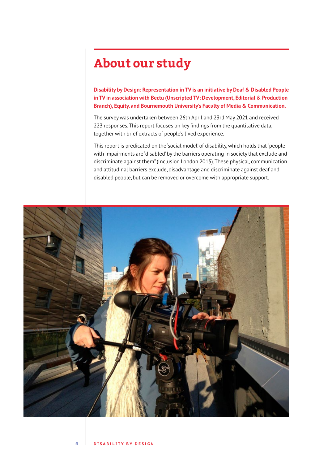# **About our study**

**Disability by Design: Representation in TV is an initiative by Deaf & Disabled People in TV in association with Bectu (Unscripted TV: Development, Editorial & Production Branch), Equity, and Bournemouth University's Faculty of Media & Communication.**

The survey was undertaken between 26th April and 23rd May 2021 and received 223 responses. This report focuses on key findings from the quantitative data, together with brief extracts of people's lived experience.

This report is predicated on the 'social model' of disability, which holds that "people with impairments are 'disabled' by the barriers operating in society that exclude and discriminate against them" (Inclusion London 2015). These physical, communication and attitudinal barriers exclude, disadvantage and discriminate against deaf and disabled people, but can be removed or overcome with appropriate support.

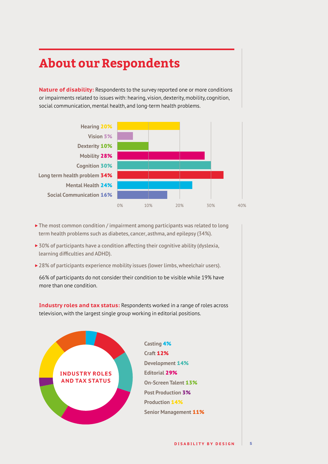# **About our Respondents**

**Nature of disability:** Respondents to the survey reported one or more conditions or impairments related to issues with: hearing, vision, dexterity, mobility, cognition, social communication, mental health, and long-term health problems.



- The most common condition / impairment among participants was related to long term health problems such as diabetes, cancer, asthma, and epilepsy (34%).
- ▶ 30% of participants have a condition affecting their cognitive ability (dyslexia, learning difficulties and ADHD).
- ▶ 28% of participants experience mobility issues (lower limbs, wheelchair users).

66% of participants do not consider their condition to be visible while 19% have more than one condition.

**Industry roles and tax status:** Respondents worked in a range of roles across television, with the largest single group working in editorial positions.

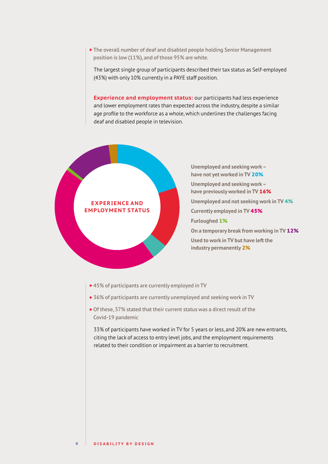The overall number of deaf and disabled people holding Senior Management position is low (11%), and of those 95% are white.

The largest single group of participants described their tax status as Self-employed (43%) with only 10% currently in a PAYE staff position.

**Experience and employment status:** our participants had less experience and lower employment rates than expected across the industry, despite a similar age profile to the workforce as a whole, which underlines the challenges facing deaf and disabled people in television.

#### **EXPERIENCE AND EMPLOYMENT STATUS**

**Unemployed and seeking work – have not yet worked in TV** 20% **Unemployed and seeking work – have previously worked in TV** 16% **Unemployed and not seeking work in TV** 4% **Currently employed in TV** 45% **Furloughed** 1% **On a temporary break from working in TV** 12% **Used to work in TV but have left the industry permanently** 2%

- ▶ 45% of participants are currently employed in TV
- ▶ 36% of participants are currently unemployed and seeking work in TV
- ▶ Of these, 37% stated that their current status was a direct result of the Covid-19 pandemic

33% of participants have worked in TV for 5 years or less, and 20% are new entrants, citing the lack of access to entry level jobs, and the employment requirements related to their condition or impairment as a barrier to recruitment.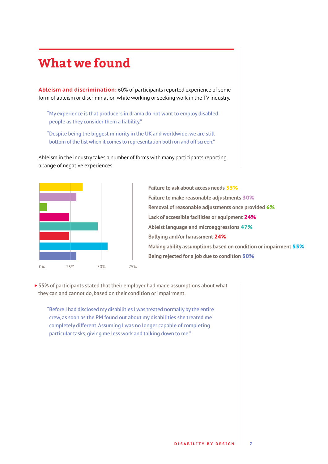### **What we found**

**Ableism and discrimination:** 60% of participants reported experience of some form of ableism or discrimination while working or seeking work in the TV industry.

- "My experience is that producers in drama do not want to employ disabled people as they consider them a liability."
- "Despite being the biggest minority in the UK and worldwide, we are still bottom of the list when it comes to representation both on and off screen."



- Ableism in the industry takes a number of forms with many participants reporting a range of negative experiences.
	- **Failure to ask about access needs** 35% **Failure to make reasonable adjustments** 30% **Removal of reasonable adjustments once provided** 6% **Lack of accessible facilities or equipment** 24% **Ableist language and microaggressions** 47% **Bullying and/or harassment** 24% **Making ability assumptions based on condition or impairment** 55% **Being rejected for a job due to condition** 30%
- ▶ 55% of participants stated that their employer had made assumptions about what they can and cannot do, based on their condition or impairment.
	- "Before I had disclosed my disabilities I was treated normally by the entire crew, as soon as the PM found out about my disabilities she treated me completely different. Assuming I was no longer capable of completing particular tasks, giving me less work and talking down to me."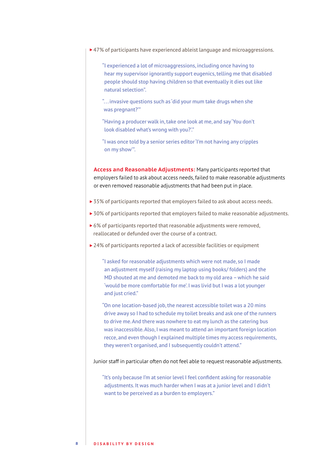- ▶ 47% of participants have experienced ableist language and microaggressions.
	- "I experienced a lot of microaggressions, including once having to hear my supervisor ignorantly support eugenics, telling me that disabled people should stop having children so that eventually it dies out like natural selection".
	- "... invasive questions such as 'did your mum take drugs when she was pregnant?'"
	- "Having a producer walk in, take one look at me, and say 'You don't look disabled what's wrong with you?'."
	- "I was once told by a senior series editor 'I'm not having any cripples on my show'".

**Access and Reasonable Adjustments:** Many participants reported that employers failed to ask about access needs, failed to make reasonable adjustments or even removed reasonable adjustments that had been put in place.

- ▶ 35% of participants reported that employers failed to ask about access needs.
- ▶ 30% of participants reported that employers failed to make reasonable adjustments.
- ▶ 6% of participants reported that reasonable adjustments were removed, reallocated or defunded over the course of a contract.
- ▶ 24% of participants reported a lack of accessible facilities or equipment

"I asked for reasonable adjustments which were not made, so I made an adjustment myself (raising my laptop using books/ folders) and the MD shouted at me and demoted me back to my old area – which he said 'would be more comfortable for me'. I was livid but I was a lot younger and just cried."

"On one location-based job, the nearest accessible toilet was a 20 mins drive away so I had to schedule my toilet breaks and ask one of the runners to drive me. And there was nowhere to eat my lunch as the catering bus was inaccessible. Also, I was meant to attend an important foreign location recce, and even though I explained multiple times my access requirements, they weren't organised, and I subsequently couldn't attend."

Junior staff in particular often do not feel able to request reasonable adjustments.

"It's only because I'm at senior level I feel confident asking for reasonable adjustments. It was much harder when I was at a junior level and I didn't want to be perceived as a burden to employers."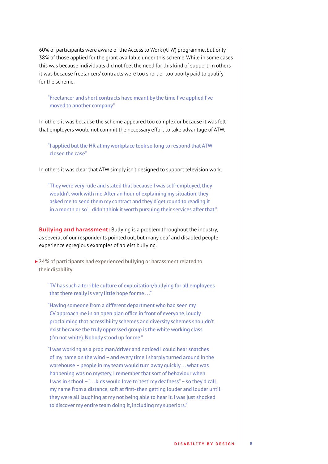60% of participants were aware of the Access to Work (ATW) programme, but only 38% of those applied for the grant available under this scheme. While in some cases this was because individuals did not feel the need for this kind of support, in others it was because freelancers' contracts were too short or too poorly paid to qualify for the scheme.

"Freelancer and short contracts have meant by the time I've applied I've moved to another company"

In others it was because the scheme appeared too complex or because it was felt that employers would not commit the necessary effort to take advantage of ATW.

"I applied but the HR at my workplace took so long to respond that ATW closed the case"

In others it was clear that ATW simply isn't designed to support television work.

"They were very rude and stated that because I was self-employed, they wouldn't work with me. After an hour of explaining my situation, they asked me to send them my contract and they'd 'get round to reading it in a month or so'. I didn't think it worth pursuing their services after that."

**Bullying and harassment:** Bullying is a problem throughout the industry, as several of our respondents pointed out, but many deaf and disabled people experience egregious examples of ableist bullying.

▶ 24% of participants had experienced bullying or harassment related to their disability.

"TV has such a terrible culture of exploitation/bullying for all employees that there really is very little hope for me..."

"Having someone from a different department who had seen my CV approach me in an open plan office in front of everyone, loudly proclaiming that accessibility schemes and diversity schemes shouldn't exist because the truly oppressed group is the white working class (I'm not white). Nobody stood up for me."

"I was working as a prop man/driver and noticed I could hear snatches of my name on the wind – and every time I sharply turned around in the warehouse – people in my team would turn away quickly . . . what was happening was no mystery, I remember that sort of behaviour when I was in school – "... kids would love to 'test' my deafness" – so they'd call my name from a distance, soft at first- then getting louder and louder until they were all laughing at my not being able to hear it. I was just shocked to discover my entire team doing it, including my superiors."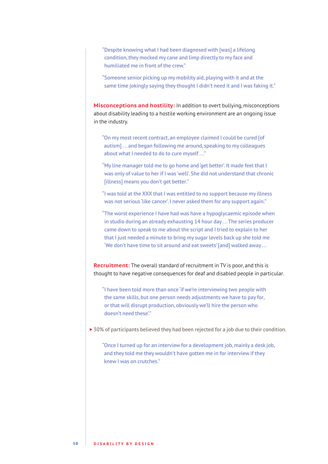"Despite knowing what I had been diagnosed with [was] a lifelong condition, they mocked my cane and limp directly to my face and humiliated me in front of the crew."

"Someone senior picking up my mobility aid, playing with it and at the same time jokingly saying they thought I didn't need it and I was faking it."

**Misconceptions and hostility:** In addition to overt bullying, misconceptions about disability leading to a hostile working environment are an ongoing issue in the industry.

"On my most recent contract, an employee claimed I could be cured [of autism]...and began following me around, speaking to my colleagues about what I needed to do to cure myself . . ."

"My line manager told me to go home and 'get better'. It made feel that I was only of value to her if I was 'well'. She did not understand that chronic [illness] means you don't get better."

"I was told at the XXX that I was entitled to no support because my illness was not serious 'like cancer'. I never asked them for any support again."

"The worst experience I have had was have a hypoglycaemic episode when in studio during an already exhausting 14 hour day ... The series producer came down to speak to me about the script and I tried to explain to her that I just needed a minute to bring my sugar levels back up she told me 'We don't have time to sit around and eat sweets' [and] walked away . . .

**Recruitment:** The overall standard of recruitment in TV is poor, and this is thought to have negative consequences for deaf and disabled people in particular.

"I have been told more than once 'if we're interviewing two people with the same skills, but one person needs adjustments we have to pay for, or that will disrupt production, obviously we'll hire the person who doesn't need these'."

▶ 30% of participants believed they had been rejected for a job due to their condition.

"Once I turned up for an interview for a development job, mainly a desk job, and they told me they wouldn't have gotten me in for interview if they knew I was on crutches."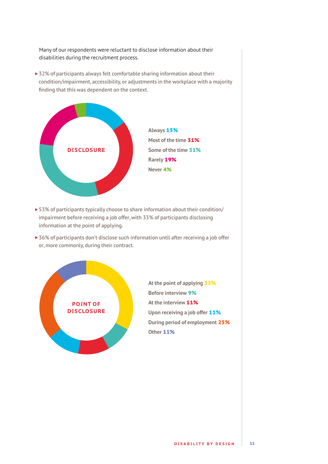Many of our respondents were reluctant to disclose information about their disabilities during the recruitment process.

▶ 32% of participants always felt comfortable sharing information about their condition/impairment, accessibility, or adjustments in the workplace with a majority finding that this was dependent on the context.



- ▶ 53% of participants typically choose to share information about their condition/ impairment before receiving a job offer, with 33% of participants disclosing information at the point of applying.
- ▶ 36% of participants don't disclose such information until after receiving a job offer or, more commonly, during their contract.



**At the point of applying** 33% **Before interview** 9% **At the interview** 11% **Upon receiving a job offer 11% During period of employment** 25% **Other** 11%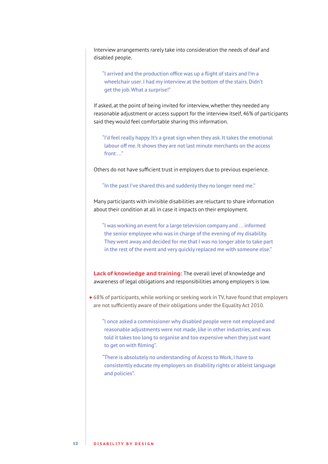Interview arrangements rarely take into consideration the needs of deaf and disabled people.

"I arrived and the production office was up a flight of stairs and I'm a wheelchair user. I had my interview at the bottom of the stairs. Didn't get the job. What a surprise!"

If asked, at the point of being invited for interview, whether they needed any reasonable adjustment or access support for the interview itself, 46% of participants said they would feel comfortable sharing this information.

"I'd feel really happy. It's a great sign when they ask. It takes the emotional labour off me. It shows they are not last minute merchants on the access front . . ."

Others do not have sufficient trust in employers due to previous experience.

"In the past I've shared this and suddenly they no longer need me."

Many participants with invisible disabilities are reluctant to share information about their condition at all in case it impacts on their employment.

"I was working an event for a large television company and . . . informed the senior employee who was in charge of the evening of my disability. They went away and decided for me that I was no longer able to take part in the rest of the event and very quickly replaced me with someone else."

**Lack of knowledge and training:** The overall level of knowledge and awareness of legal obligations and responsibilities among employers is low.

▶ 68% of participants, while working or seeking work in TV, have found that employers are not sufficiently aware of their obligations under the Equality Act 2010.

"I once asked a commissioner why disabled people were not employed and reasonable adjustments were not made, like in other industries, and was told it takes too long to organise and too expensive when they just want to get on with filming".

"There is absolutely no understanding of Access to Work, I have to consistently educate my employers on disability rights or ableist language and policies".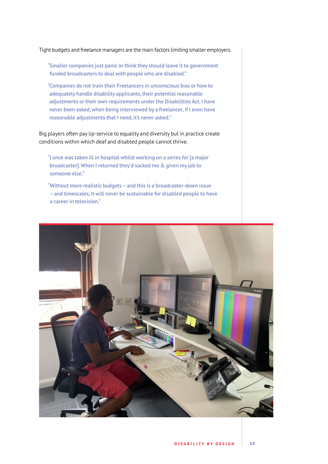Tight budgets and freelance managers are the main factors limiting smaller employers.

"Smaller companies just panic or think they should leave it to government funded broadcasters to deal with people who are disabled."

"Companies do not train their Freelancers in unconscious bias or how to adequately handle disability applicants, their potential reasonable adjustments or their own requirements under the Disabilities Act. I have never been asked, when being interviewed by a freelancer, if I even have reasonable adjustments that I need, it's never asked."

Big players often pay lip-service to equality and diversity but in practice create conditions within which deaf and disabled people cannot thrive.

- "I once was taken ill in hospital whilst working on a series for [a major broadcaster]. When I returned they'd sacked me & given my job to someone else."
- "Without more realistic budgets and this is a broadcaster-down issue – and timescales, it will never be sustainable for disabled people to have a career in television."

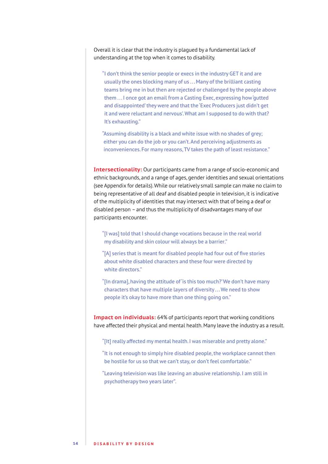Overall it is clear that the industry is plagued by a fundamental lack of understanding at the top when it comes to disability.

"I don't think the senior people or execs in the industry GET it and are usually the ones blocking many of us ... Many of the brilliant casting teams bring me in but then are rejected or challenged by the people above them . . . I once got an email from a Casting Exec, expressing how 'gutted and disappointed' they were and that the 'Exec Producers just didn't get it and were reluctant and nervous'. What am I supposed to do with that? It's exhausting."

"Assuming disability is a black and white issue with no shades of grey; either you can do the job or you can't. And perceiving adjustments as inconveniences. For many reasons, TV takes the path of least resistance."

**Intersectionality:** Our participants came from a range of socio-economic and ethnic backgrounds, and a range of ages, gender identities and sexual orientations (see Appendix for details). While our relatively small sample can make no claim to being representative of all deaf and disabled people in television, it is indicative of the multiplicity of identities that may intersect with that of being a deaf or disabled person – and thus the multiplicity of disadvantages many of our participants encounter.

"[I was] told that I should change vocations because in the real world my disability and skin colour will always be a barrier."

"[A] series that is meant for disabled people had four out of five stories about white disabled characters and these four were directed by white directors."

"[In drama], having the attitude of 'is this too much?' We don't have many characters that have multiple layers of diversity ... We need to show people it's okay to have more than one thing going on."

**Impact on individuals:** 64% of participants report that working conditions have affected their physical and mental health. Many leave the industry as a result.

"[It] really affected my mental health. I was miserable and pretty alone."

"It is not enough to simply hire disabled people, the workplace cannot then be hostile for us so that we can't stay, or don't feel comfortable."

"Leaving television was like leaving an abusive relationship. I am still in psychotherapy two years later".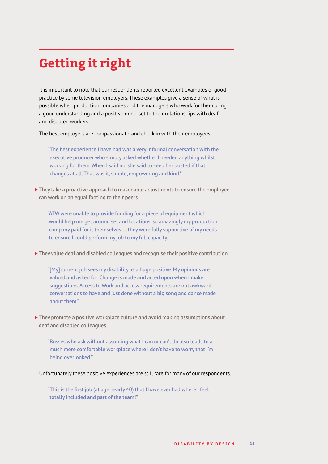# **Getting it right**

It is important to note that our respondents reported excellent examples of good practice by some television employers. These examples give a sense of what is possible when production companies and the managers who work for them bring a good understanding and a positive mind-set to their relationships with deaf and disabled workers.

The best employers are compassionate, and check in with their employees.

"The best experience I have had was a very informal conversation with the executive producer who simply asked whether I needed anything whilst working for them. When I said no, she said to keep her posted if that changes at all. That was it, simple, empowering and kind."

▶ They take a proactive approach to reasonable adjustments to ensure the employee can work on an equal footing to their peers.

"ATW were unable to provide funding for a piece of equipment which would help me get around set and locations, so amazingly my production company paid for it themselves . . . they were fully supportive of my needs to ensure I could perform my job to my full capacity."

They value deaf and disabled colleagues and recognise their positive contribution.

"[My] current job sees my disability as a huge positive. My opinions are valued and asked for. Change is made and acted upon when I make suggestions. Access to Work and access requirements are not awkward conversations to have and just done without a big song and dance made about them."

▶ They promote a positive workplace culture and avoid making assumptions about deaf and disabled colleagues.

"Bosses who ask without assuming what I can or can't do also leads to a much more comfortable workplace where I don't have to worry that I'm being overlooked."

Unfortunately these positive experiences are still rare for many of our respondents.

"This is the first job (at age nearly 40) that I have ever had where I feel totally included and part of the team!"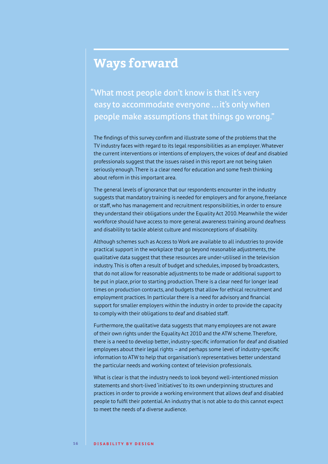### **Ways forward**

"What most people don't know is that it's very easy to accommodate everyone ... it's only when people make assumptions that things go wrong."

The findings of this survey confirm and illustrate some of the problems that the TV industry faces with regard to its legal responsibilities as an employer. Whatever the current interventions or intentions of employers, the voices of deaf and disabled professionals suggest that the issues raised in this report are not being taken seriously enough. There is a clear need for education and some fresh thinking about reform in this important area.

The general levels of ignorance that our respondents encounter in the industry suggests that mandatory training is needed for employers and for anyone, freelance or staff, who has management and recruitment responsibilities, in order to ensure they understand their obligations under the Equality Act 2010. Meanwhile the wider workforce should have access to more general awareness training around deafness and disability to tackle ableist culture and misconceptions of disability.

Although schemes such as Access to Work are available to all industries to provide practical support in the workplace that go beyond reasonable adjustments, the qualitative data suggest that these resources are under-utilised in the television industry. This is often a result of budget and schedules, imposed by broadcasters, that do not allow for reasonable adjustments to be made or additional support to be put in place, prior to starting production. There is a clear need for longer lead times on production contracts, and budgets that allow for ethical recruitment and employment practices. In particular there is a need for advisory and financial support for smaller employers within the industry in order to provide the capacity to comply with their obligations to deaf and disabled staff.

Furthermore, the qualitative data suggests that many employees are not aware of their own rights under the Equality Act 2010 and the ATW scheme. Therefore, there is a need to develop better, industry-specific information for deaf and disabled employees about their legal rights – and perhaps some level of industry-specific information to ATW to help that organisation's representatives better understand the particular needs and working context of television professionals.

What is clear is that the industry needs to look beyond well-intentioned mission statements and short-lived 'initiatives' to its own underpinning structures and practices in order to provide a working environment that allows deaf and disabled people to fulfil their potential. An industry that is not able to do this cannot expect to meet the needs of a diverse audience.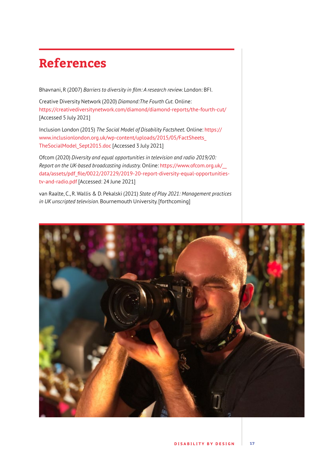### **References**

Bhavnani, R (2007) *Barriers to diversity in film: A research review*. London: BFI.

Creative Diversity Network (2020) *Diamond:The Fourth Cut.* Online: <https://creativediversitynetwork.com/diamond/diamond-reports/the-fourth-cut/> [Accessed 5 July 2021]

Inclusion London (2015) *The Social Model of Disability Factsheet.* Online: [https://](https://www.inclusionlondon.org.uk/wp-content/uploads/2015/05/FactSheets_TheSocialModel_Sept2015.doc) [www.inclusionlondon.org.uk/wp-content/uploads/2015/05/FactSheets\\_](https://www.inclusionlondon.org.uk/wp-content/uploads/2015/05/FactSheets_TheSocialModel_Sept2015.doc) [TheSocialModel\\_Sept2015.doc](https://www.inclusionlondon.org.uk/wp-content/uploads/2015/05/FactSheets_TheSocialModel_Sept2015.doc) [Accessed 3 July 2021]

Ofcom (2020) *Diversity and equal opportunities in television and radio 2019/20: Report on the UK-based broadcasting industry.* Online: [https://www.ofcom.org.uk/\\_\\_](https://www.ofcom.org.uk/__data/assets/pdf_file/0022/207229/2019-20-report-diversity-equal-opportunities-tv-and-radio.pdf) [data/assets/pdf\\_file/0022/207229/2019-20-report-diversity-equal-opportunities](https://www.ofcom.org.uk/__data/assets/pdf_file/0022/207229/2019-20-report-diversity-equal-opportunities-tv-and-radio.pdf)[tv-and-radio.pdf](https://www.ofcom.org.uk/__data/assets/pdf_file/0022/207229/2019-20-report-diversity-equal-opportunities-tv-and-radio.pdf) [Accessed: 24 June 2021]

van Raalte, C., R. Wallis & D. Pekalski (2021) *State of Play 2021: Management practices in UK unscripted television*. Bournemouth University. [forthcoming]

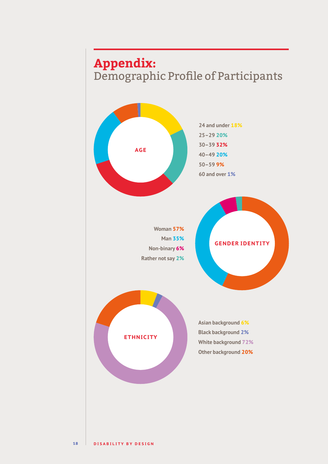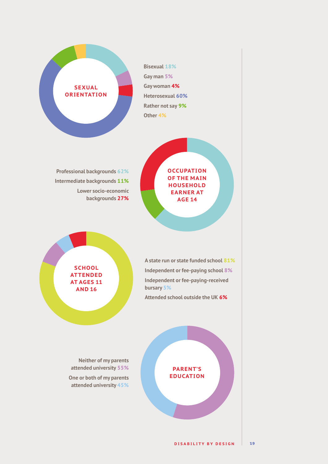